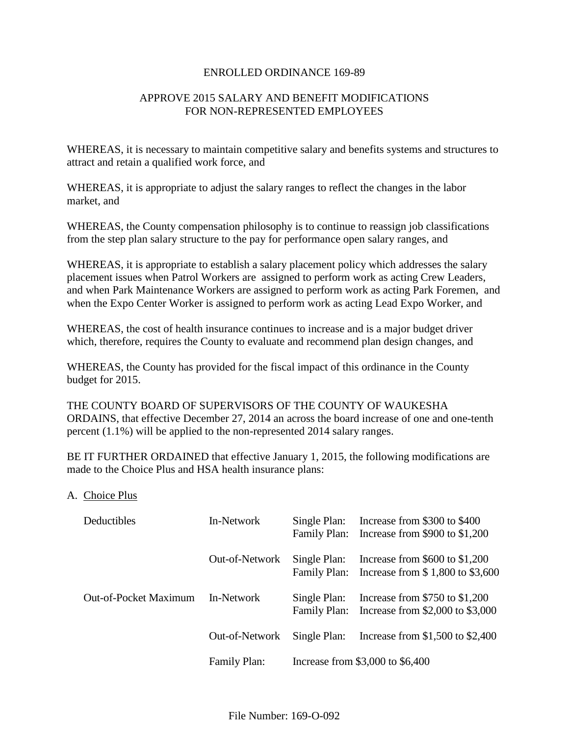### ENROLLED ORDINANCE 169-89

## APPROVE 2015 SALARY AND BENEFIT MODIFICATIONS FOR NON-REPRESENTED EMPLOYEES

WHEREAS, it is necessary to maintain competitive salary and benefits systems and structures to attract and retain a qualified work force, and

WHEREAS, it is appropriate to adjust the salary ranges to reflect the changes in the labor market, and

WHEREAS, the County compensation philosophy is to continue to reassign job classifications from the step plan salary structure to the pay for performance open salary ranges, and

WHEREAS, it is appropriate to establish a salary placement policy which addresses the salary placement issues when Patrol Workers are assigned to perform work as acting Crew Leaders, and when Park Maintenance Workers are assigned to perform work as acting Park Foremen, and when the Expo Center Worker is assigned to perform work as acting Lead Expo Worker, and

WHEREAS, the cost of health insurance continues to increase and is a major budget driver which, therefore, requires the County to evaluate and recommend plan design changes, and

WHEREAS, the County has provided for the fiscal impact of this ordinance in the County budget for 2015.

THE COUNTY BOARD OF SUPERVISORS OF THE COUNTY OF WAUKESHA ORDAINS, that effective December 27, 2014 an across the board increase of one and one-tenth percent (1.1%) will be applied to the non-represented 2014 salary ranges.

BE IT FURTHER ORDAINED that effective January 1, 2015, the following modifications are made to the Choice Plus and HSA health insurance plans:

## A. Choice Plus

| Deductibles           | In-Network     | Single Plan:<br>Family Plan:     | Increase from \$300 to \$400<br>Increase from $$900$ to $$1,200$       |
|-----------------------|----------------|----------------------------------|------------------------------------------------------------------------|
|                       | Out-of-Network | Single Plan:<br>Family Plan:     | Increase from $$600$ to $$1,200$<br>Increase from \$1,800 to \$3,600   |
| Out-of-Pocket Maximum | In-Network     | Single Plan:<br>Family Plan:     | Increase from $$750$ to $$1,200$<br>Increase from $$2,000$ to $$3,000$ |
|                       | Out-of-Network | Single Plan:                     | Increase from $$1,500$ to $$2,400$                                     |
|                       | Family Plan:   | Increase from \$3,000 to \$6,400 |                                                                        |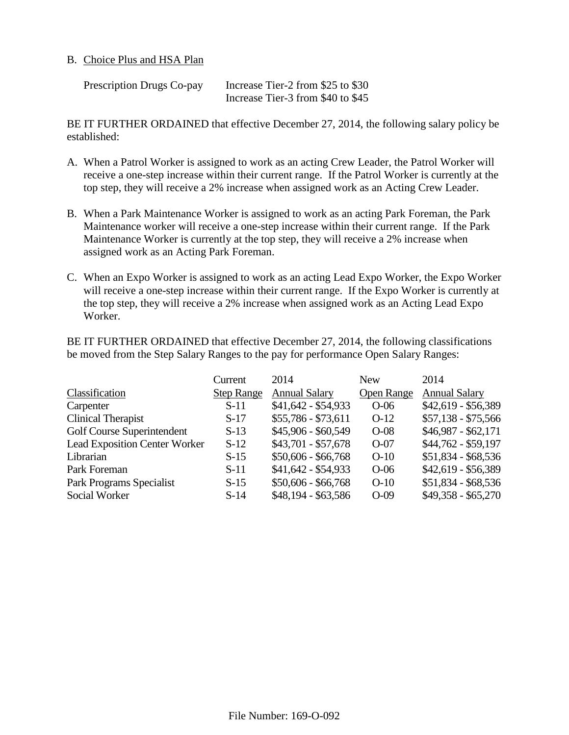### B. Choice Plus and HSA Plan

| Prescription Drugs Co-pay | Increase Tier-2 from \$25 to \$30 |
|---------------------------|-----------------------------------|
|                           | Increase Tier-3 from \$40 to \$45 |

BE IT FURTHER ORDAINED that effective December 27, 2014, the following salary policy be established:

- A. When a Patrol Worker is assigned to work as an acting Crew Leader, the Patrol Worker will receive a one-step increase within their current range. If the Patrol Worker is currently at the top step, they will receive a 2% increase when assigned work as an Acting Crew Leader.
- B. When a Park Maintenance Worker is assigned to work as an acting Park Foreman, the Park Maintenance worker will receive a one-step increase within their current range. If the Park Maintenance Worker is currently at the top step, they will receive a 2% increase when assigned work as an Acting Park Foreman.
- C. When an Expo Worker is assigned to work as an acting Lead Expo Worker, the Expo Worker will receive a one-step increase within their current range. If the Expo Worker is currently at the top step, they will receive a 2% increase when assigned work as an Acting Lead Expo Worker.

BE IT FURTHER ORDAINED that effective December 27, 2014, the following classifications be moved from the Step Salary Ranges to the pay for performance Open Salary Ranges:

|                                      | Current           | 2014                 | <b>New</b>        | 2014                 |
|--------------------------------------|-------------------|----------------------|-------------------|----------------------|
| Classification                       | <b>Step Range</b> | <b>Annual Salary</b> | <b>Open Range</b> | <b>Annual Salary</b> |
| Carpenter                            | $S-11$            | $$41,642 - $54,933$  | $O-06$            | \$42,619 - \$56,389  |
| Clinical Therapist                   | $S-17$            | $$55,786 - $73,611$  | $O-12$            | $$57,138 - $75,566$  |
| Golf Course Superintendent           | $S-13$            | \$45,906 - \$60,549  | $O-08$            | $$46,987 - $62,171$  |
| <b>Lead Exposition Center Worker</b> | $S-12$            | $$43,701 - $57,678$  | $O-07$            | \$44,762 - \$59,197  |
| Librarian                            | $S-15$            | $$50,606 - $66,768$  | $O-10$            | $$51,834 - $68,536$  |
| Park Foreman                         | $S-11$            | \$41,642 - \$54,933  | $O-06$            | \$42,619 - \$56,389  |
| Park Programs Specialist             | $S-15$            | $$50,606 - $66,768$  | $O-10$            | $$51,834 - $68,536$  |
| Social Worker                        | $S-14$            | \$48,194 - \$63,586  | $O-09$            | $$49,358 - $65,270$  |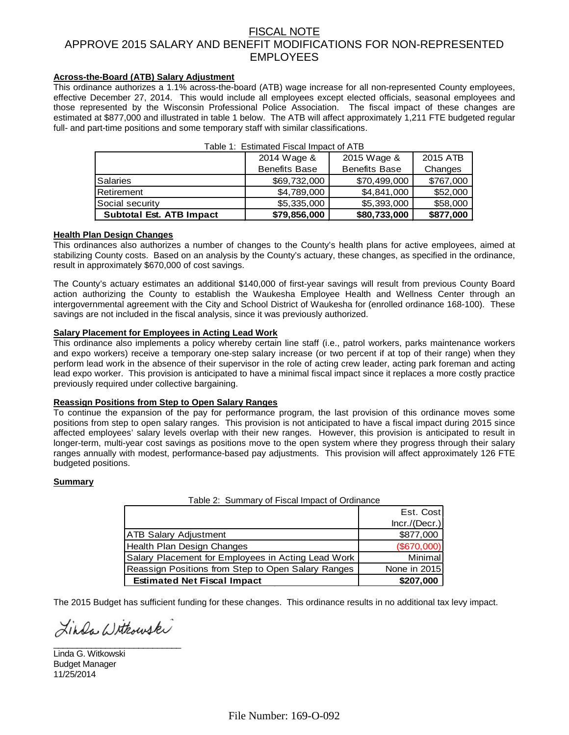## FISCAL NOTE APPROVE 2015 SALARY AND BENEFIT MODIFICATIONS FOR NON-REPRESENTED EMPLOYEES

### **Across-the-Board (ATB) Salary Adjustment**

This ordinance authorizes a 1.1% across-the-board (ATB) wage increase for all non-represented County employees, effective December 27, 2014. This would include all employees except elected officials, seasonal employees and those represented by the Wisconsin Professional Police Association. The fiscal impact of these changes are estimated at \$877,000 and illustrated in table 1 below. The ATB will affect approximately 1,211 FTE budgeted regular full- and part-time positions and some temporary staff with similar classifications.

|                                 | 2014 Wage &          | 2015 Wage &          | 2015 ATB  |
|---------------------------------|----------------------|----------------------|-----------|
|                                 | <b>Benefits Base</b> | <b>Benefits Base</b> | Changes   |
| Salaries                        | \$69,732,000         | \$70,499,000         | \$767,000 |
| Retirement                      | \$4,789,000          | \$4,841,000          | \$52,000  |
| Social security                 | \$5,335,000          | \$5,393,000          | \$58,000  |
| <b>Subtotal Est. ATB Impact</b> | \$79,856,000         | \$80,733,000         | \$877,000 |

| Table 1: Estimated Fiscal Impact of ATB |  |
|-----------------------------------------|--|
|-----------------------------------------|--|

#### **Health Plan Design Changes**

This ordinances also authorizes a number of changes to the County's health plans for active employees, aimed at stabilizing County costs. Based on an analysis by the County's actuary, these changes, as specified in the ordinance, result in approximately \$670,000 of cost savings.

The County's actuary estimates an additional \$140,000 of first-year savings will result from previous County Board action authorizing the County to establish the Waukesha Employee Health and Wellness Center through an intergovernmental agreement with the City and School District of Waukesha for (enrolled ordinance 168-100). These savings are not included in the fiscal analysis, since it was previously authorized.

#### **Salary Placement for Employees in Acting Lead Work**

This ordinance also implements a policy whereby certain line staff (i.e., patrol workers, parks maintenance workers and expo workers) receive a temporary one-step salary increase (or two percent if at top of their range) when they perform lead work in the absence of their supervisor in the role of acting crew leader, acting park foreman and acting lead expo worker. This provision is anticipated to have a minimal fiscal impact since it replaces a more costly practice previously required under collective bargaining.

#### **Reassign Positions from Step to Open Salary Ranges**

To continue the expansion of the pay for performance program, the last provision of this ordinance moves some positions from step to open salary ranges. This provision is not anticipated to have a fiscal impact during 2015 since affected employees' salary levels overlap with their new ranges. However, this provision is anticipated to result in longer-term, multi-year cost savings as positions move to the open system where they progress through their salary ranges annually with modest, performance-based pay adjustments. This provision will affect approximately 126 FTE budgeted positions.

#### **Summary**

| <b>Estimated Net Fiscal Impact</b>                 | \$207,000      |
|----------------------------------------------------|----------------|
| Reassign Positions from Step to Open Salary Ranges | None in 2015   |
| Salary Placement for Employees in Acting Lead Work | <b>Minimal</b> |
| Health Plan Design Changes                         | (\$670,000)    |
| <b>ATB Salary Adjustment</b>                       | \$877,000      |
|                                                    | Incr./(Decr.)  |
|                                                    | Est. Cost      |
| Table 2: Summary of Fiscal Impact of Ordinance     |                |

The 2015 Budget has sufficient funding for these changes. This ordinance results in no additional tax levy impact.

Linda Withouski \_\_\_\_\_\_\_\_\_\_\_\_\_\_\_\_\_\_\_\_\_\_\_\_\_\_\_

Linda G. Witkowski Budget Manager 11/25/2014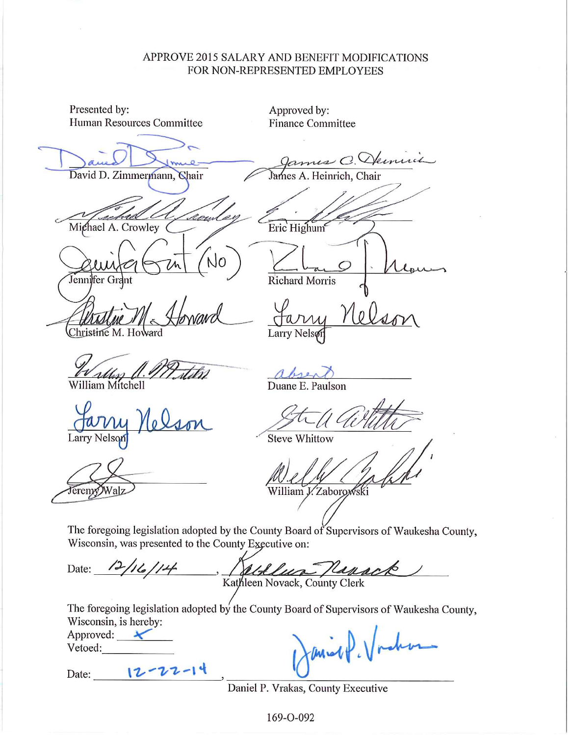# APPROVE 2015 SALARY AND BENEFIT MODIFICATIONS FOR NON-REPRESENTED EMPLOYEES

| Presented by:<br>Human Resources Committee           | Approved by:<br><b>Finance Committee</b>                                                                    |
|------------------------------------------------------|-------------------------------------------------------------------------------------------------------------|
| David D. Zimmermann, Chair                           | ames C. Demuin<br>James A. Heinrich, Chair                                                                  |
| Michael A. Crowley                                   | Eric Highum                                                                                                 |
| Jennifer Grant                                       | <b>Richard Morris</b>                                                                                       |
| Christine M. Howard                                  | Larry Nels                                                                                                  |
| William Mitchell                                     | Duane E. Paulson                                                                                            |
| Larry Nelson                                         | <b>Steve Whittow</b>                                                                                        |
| eremy                                                | William J. Zaborowski                                                                                       |
| Wisconsin, was presented to the County Executive on: | The foregoing legislation adopted by the County Board of Supervisors of Waukesha County,                    |
| Date: 12/16/14, Rathleen Novack, County Clerk        |                                                                                                             |
| Wisconsin, is hereby:<br>Approved:<br>Vetoed:        | The foregoing legislation adopted by the County Board of Supervisors of Waukesha County,<br>Demint l'Indian |

Date: 12-22-14

Daniel P. Vrakas, County Executive

169-0-092